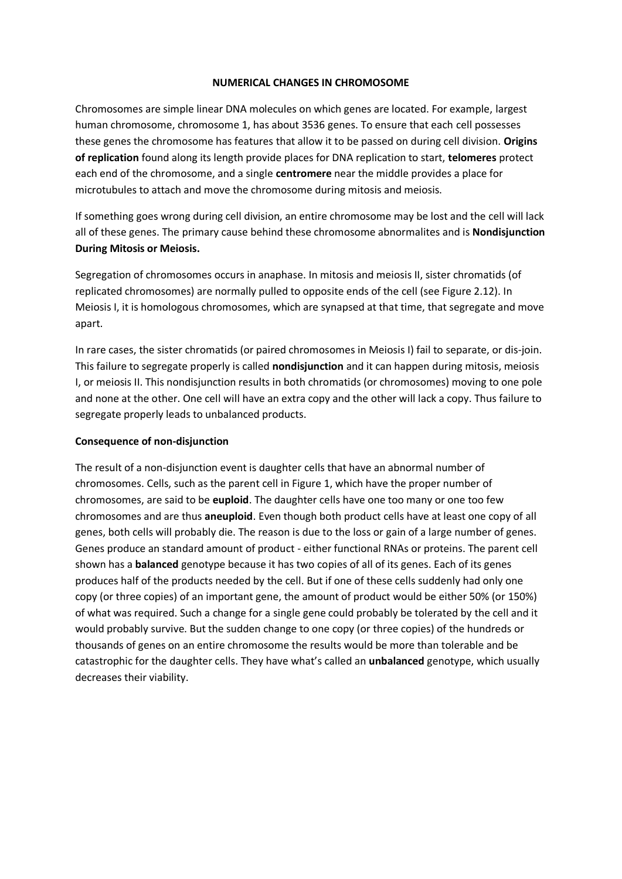## **NUMERICAL CHANGES IN CHROMOSOME**

Chromosomes are simple linear DNA molecules on which genes are located. For example, largest human chromosome, chromosome 1, has about 3536 genes. To ensure that each cell possesses these genes the chromosome has features that allow it to be passed on during cell division. **Origins of replication** found along its length provide places for DNA replication to start, **telomeres** protect each end of the chromosome, and a single **centromere** near the middle provides a place for microtubules to attach and move the chromosome during mitosis and meiosis.

If something goes wrong during cell division, an entire chromosome may be lost and the cell will lack all of these genes. The primary cause behind these chromosome abnormalites and is **Nondisjunction During Mitosis or Meiosis.**

Segregation of chromosomes occurs in anaphase. In mitosis and meiosis II, sister chromatids (of replicated chromosomes) are normally pulled to opposite ends of the cell (see Figure 2.12). In Meiosis I, it is homologous chromosomes, which are synapsed at that time, that segregate and move apart.

In rare cases, the sister chromatids (or paired chromosomes in Meiosis I) fail to separate, or dis-join. This failure to segregate properly is called **nondisjunction** and it can happen during mitosis, meiosis I, or meiosis II. This nondisjunction results in both chromatids (or chromosomes) moving to one pole and none at the other. One cell will have an extra copy and the other will lack a copy. Thus failure to segregate properly leads to unbalanced products.

## **Consequence of non-disjunction**

The result of a non-disjunction event is daughter cells that have an abnormal number of chromosomes. Cells, such as the parent cell in Figure 1, which have the proper number of chromosomes, are said to be **euploid**. The daughter cells have one too many or one too few chromosomes and are thus **aneuploid**. Even though both product cells have at least one copy of all genes, both cells will probably die. The reason is due to the loss or gain of a large number of genes. Genes produce an standard amount of product - either functional RNAs or proteins. The parent cell shown has a **balanced** genotype because it has two copies of all of its genes. Each of its genes produces half of the products needed by the cell. But if one of these cells suddenly had only one copy (or three copies) of an important gene, the amount of product would be either 50% (or 150%) of what was required. Such a change for a single gene could probably be tolerated by the cell and it would probably survive. But the sudden change to one copy (or three copies) of the hundreds or thousands of genes on an entire chromosome the results would be more than tolerable and be catastrophic for the daughter cells. They have what's called an **unbalanced** genotype, which usually decreases their viability.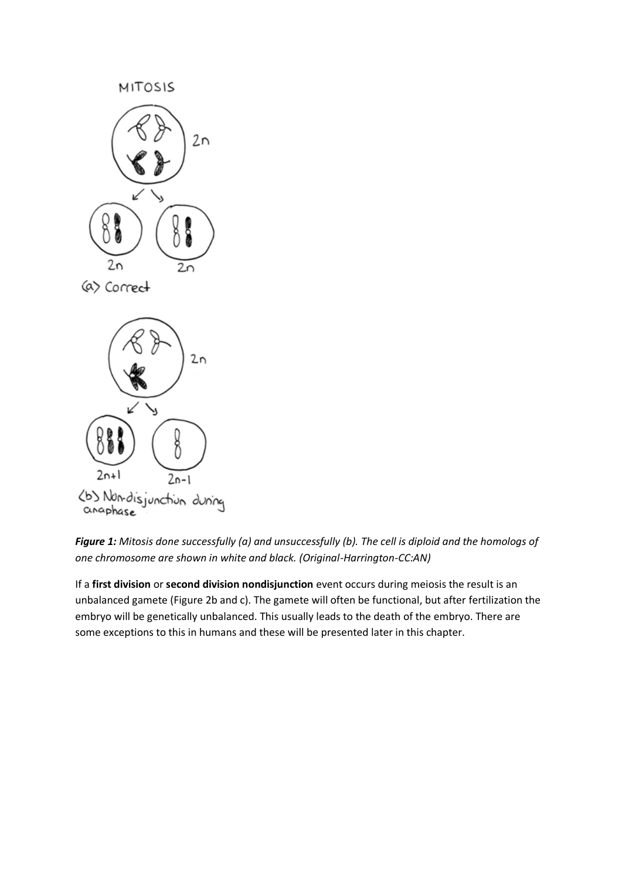**MITOSIS** 







If a **first division** or **second division nondisjunction** event occurs during meiosis the result is an unbalanced gamete (Figure 2b and c). The gamete will often be functional, but after fertilization the embryo will be genetically unbalanced. This usually leads to the death of the embryo. There are some exceptions to this in humans and these will be presented later in this chapter.